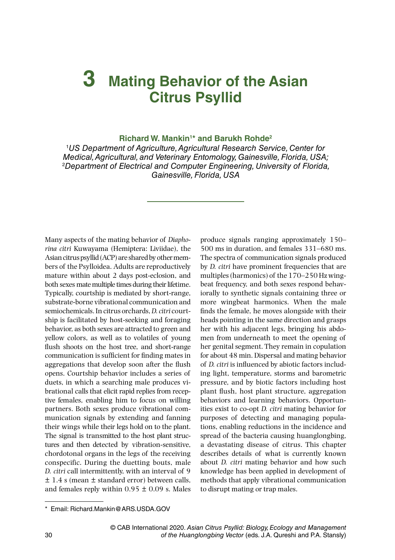# **3 [Mating Behavior of the Asian](#page--1-0)  [Citrus Psyllid](#page--1-0)**

#### **Richard W. Mankin1 \* and Barukh Rohde2**

<sup>1</sup>US Department of Agriculture, Agricultural Research Service, Center for *Medical, Agricultural, and Veterinary Entomology, Gainesville, Florida, USA;*  2 *Department of Electrical and Computer Engineering, University of Florida, Gainesville, Florida, USA*

Many aspects of the mating behavior of *Diaphorina citri* Kuwayama (Hemiptera: Liviidae), the Asian citrus psyllid (ACP) are shared by other members of the Psylloidea. Adults are reproductively mature within about 2 days post-eclosion, and both sexes mate multiple times during their lifetime. Typically, courtship is mediated by short-range, substrate-borne vibrational communication and semiochemicals. In citrus orchards, *D. citri* courtship is facilitated by host-seeking and foraging behavior, as both sexes are attracted to green and yellow colors, as well as to volatiles of young flush shoots on the host tree, and short-range communication is sufficient for finding mates in aggregations that develop soon after the flush opens. Courtship behavior includes a series of duets, in which a searching male produces vibrational calls that elicit rapid replies from receptive females, enabling him to focus on willing partners. Both sexes produce vibrational communication signals by extending and fanning their wings while their legs hold on to the plant. The signal is transmitted to the host plant structures and then detected by vibration-sensitive, chordotonal organs in the legs of the receiving conspecific. During the duetting bouts, male *D. citri* call intermittently, with an interval of 9  $\pm$  1.4 s (mean  $\pm$  standard error) between calls, and females reply within  $0.95 \pm 0.09$  s. Males produce signals ranging approximately 150– 500 ms in duration, and females 331–680 ms. The spectra of communication signals produced by *D. citri* have prominent frequencies that are multiples (harmonics) of the 170–250 Hz wingbeat frequency, and both sexes respond behaviorally to synthetic signals containing three or more wingbeat harmonics. When the male finds the female, he moves alongside with their heads pointing in the same direction and grasps her with his adjacent legs, bringing his abdomen from underneath to meet the opening of her genital segment. They remain in copulation for about 48 min. Dispersal and mating behavior of *D. citri* is influenced by abiotic factors including light, temperature, storms and barometric pressure, and by biotic factors including host plant flush, host plant structure, aggregation behaviors and learning behaviors. Opportunities exist to co-opt *D. citri* mating behavior for purposes of detecting and managing populations, enabling reductions in the incidence and spread of the bacteria causing huanglongbing, a devastating disease of citrus. This chapter describes details of what is currently known about *D. citri* mating behavior and how such knowledge has been applied in development of methods that apply vibrational communication to disrupt mating or trap males.

<sup>\*</sup> Email: Richard.Mankin@ARS.USDA.GOV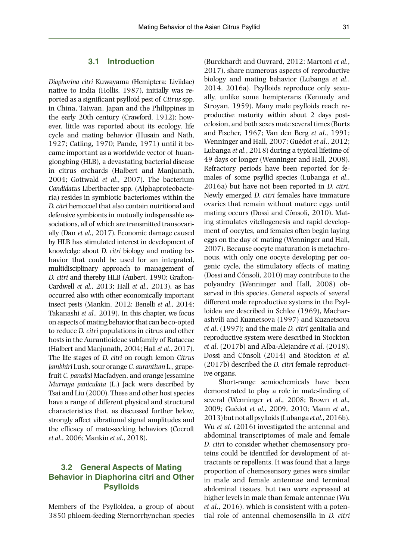#### **3.1 Introduction**

*Diaphorina citri* Kuwayama (Hemiptera: Liviidae) native to India (Hollis, 1987), initially was reported as a significant psylloid pest of *Citrus* spp. in China, Taiwan, Japan and the Philippines in the early 20th century (Crawford, 1912); however, little was reported about its ecology, life cycle and mating behavior (Husain and Nath, 1927; Catling, 1970; Pande, 1971) until it became important as a worldwide vector of huanglongbing (HLB), a devastating bacterial disease in citrus orchards (Halbert and Manjunath, 2004; Gottwald *et al*., 2007). The bacterium *Candidatus* Liberibacter spp. (Alphaproteobacteria) resides in symbiotic bacteriomes within the *D. citri* hemocoel that also contain nutritional and defensive symbionts in mutually indispensable associations, all of which are transmitted transovarially (Dan *et al*., 2017). Economic damage caused by HLB has stimulated interest in development of knowledge about *D. citri* biology and mating behavior that could be used for an integrated, multidisciplinary approach to management of *D. citri* and thereby HLB (Aubert, 1990; Grafton-Cardwell *et al*., 2013; Hall *et al*., 2013), as has occurred also with other economically important insect pests (Mankin, 2012; Benelli *et al*., 2014; Takanashi *et al*., 2019). In this chapter, we focus on aspects of mating behavior that can be co-opted to reduce *D. citri* populations in citrus and other hosts in the Aurantioideae subfamily of Rutaceae (Halbert and Manjunath, 2004; Hall *et al*., 2017). The life stages of *D. citri* on rough lemon *Citrus jambhiri* Lush, sour orange *C. aurantium* L., grapefruit *C. paradisi* Macfadyen, and orange jessamine *Murraya paniculata* (L.) Jack were described by Tsai and Liu (2000). These and other host species have a range of different physical and structural characteristics that, as discussed further below, strongly affect vibrational signal amplitudes and the efficacy of mate-seeking behaviors (Cocroft *et al*., 2006; Mankin *et al*., 2018).

## **3.2 General Aspects of Mating Behavior in Diaphorina citri and Other Psylloids**

Members of the Psylloidea, a group of about 3850 phloem-feeding Sternorrhynchan species (Burckhardt and Ouvrard, 2012; Martoni *et al*., 2017), share numerous aspects of reproductive biology and mating behavior (Lubanga *et al*., 2014, 2016a). Psylloids reproduce only sexually, unlike some hemipterans (Kennedy and Stroyan, 1959). Many male psylloids reach reproductive maturity within about 2 days posteclosion, and both sexes mate several times (Burts and Fischer, 1967; Van den Berg *et al*., 1991; Wenninger and Hall, 2007; Guédot *et al*., 2012; Lubanga *et al*., 2018) during a typical lifetime of 49 days or longer (Wenninger and Hall, 2008). Refractory periods have been reported for females of some psyllid species (Lubanga *et al*., 2016a) but have not been reported in *D. citri*. Newly emerged *D. citri* females have immature ovaries that remain without mature eggs until mating occurs (Dossi and Cônsoli, 2010). Mating stimulates vitellogenesis and rapid development of oocytes, and females often begin laying eggs on the day of mating (Wenninger and Hall, 2007). Because oocyte maturation is metachronous, with only one oocyte developing per oogenic cycle, the stimulatory effects of mating (Dossi and Cônsoli, 2010) may contribute to the polyandry (Wenninger and Hall, 2008) observed in this species. General aspects of several different male reproductive systems in the Psylloidea are described in Schlee (1969), Macharashvili and Kuznetsova (1997) and Kuznetsova *et al*. (1997); and the male *D. citri* genitalia and reproductive system were described in Stockton *et al*. (2017b) and Alba-Alejandre *et al*. (2018). Dossi and Cônsoli (2014) and Stockton *et al*. (2017b) described the *D. citri* female reproductive organs.

Short-range semiochemicals have been demonstrated to play a role in mate-finding of several (Wenninger *et al*., 2008; Brown *et al*., 2009; Guédot *et al*., 2009, 2010; Mann *et al*., 2013) but not all psylloids (Lubanga *et al*., 2016b). Wu *et al*. (2016) investigated the antennal and abdominal transcriptomes of male and female *D. citri* to consider whether chemosensory proteins could be identified for development of attractants or repellents. It was found that a large proportion of chemosensory genes were similar in male and female antennae and terminal abdominal tissues, but two were expressed at higher levels in male than female antennae (Wu *et al*., 2016), which is consistent with a potential role of antennal chemosensilla in *D. citri*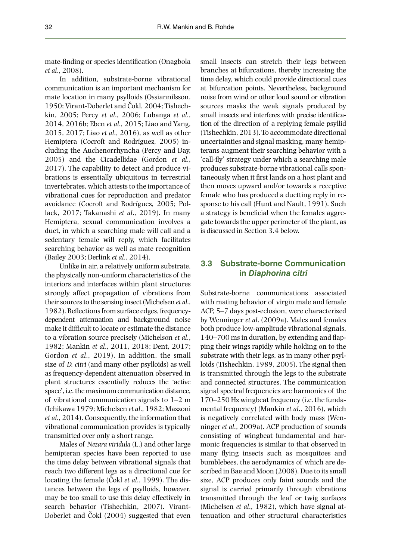mate-finding or species identification (Onagbola *et al*., 2008).

In addition, substrate-borne vibrational communication is an important mechanism for mate location in many psylloids (Ossiannilsson, 1950; Virant-Doberlet and Čokl, 2004; Tishechkin, 2005; Percy *et al*., 2006; Lubanga *et al*., 2014, 2016b; Eben *et al*., 2015; Liao and Yang, 2015, 2017; Liao *et al*., 2016), as well as other Hemiptera (Cocroft and Rodríguez, 2005) including the Auchenorrhyncha (Percy and Day, 2005) and the Cicadellidae (Gordon *et al*., 2017). The capability to detect and produce vibrations is essentially ubiquitous in terrestrial invertebrates, which attests to the importance of vibrational cues for reproduction and predator avoidance (Cocroft and Rodríguez, 2005; Pollack, 2017; Takanashi *et al*., 2019). In many Hemiptera, sexual communication involves a duet, in which a searching male will call and a sedentary female will reply, which facilitates searching behavior as well as mate recognition (Bailey 2003; Derlink *et al*., 2014).

Unlike in air, a relatively uniform substrate, the physically non-uniform characteristics of the interiors and interfaces within plant structures strongly affect propagation of vibrations from their sources to the sensing insect (Michelsen *et al*., 1982). Reflections from surface edges, frequencydependent attenuation and background noise make it difficult to locate or estimate the distance to a vibration source precisely (Michelson *et al*., 1982; Mankin *et al*., 2011, 2018; Dent, 2017; Gordon *et al*., 2019). In addition, the small size of *D. citri* (and many other psylloids) as well as frequency-dependent attenuation observed in plant structures essentially reduces the 'active space', i.e. the maximum communication distance, of vibrational communication signals to 1–2 m (Ichikawa 1979; Michelsen *et al*., 1982; Mazzoni *et al*., 2014). Consequently, the information that vibrational communication provides is typically transmitted over only a short range.

Males of *Nezara viridula* (L.) and other large hemipteran species have been reported to use the time delay between vibrational signals that reach two different legs as a directional cue for locating the female (Čokl *et al.*, 1999). The distances between the legs of psylloids, however, may be too small to use this delay effectively in search behavior (Tishechkin, 2007). Virant-Doberlet and Čokl (2004) suggested that even small insects can stretch their legs between branches at bifurcations, thereby increasing the time delay, which could provide directional cues at bifurcation points. Nevertheless, background noise from wind or other loud sound or vibration sources masks the weak signals produced by small insects and interferes with precise identification of the direction of a replying female psyllid (Tishechkin, 2013). To accommodate directional uncertainties and signal masking, many hemipterans augment their searching behavior with a 'call-fly' strategy under which a searching male produces substrate-borne vibrational calls spontaneously when it first lands on a host plant and then moves upward and/or towards a receptive female who has produced a duetting reply in response to his call (Hunt and Nault, 1991). Such a strategy is beneficial when the females aggregate towards the upper perimeter of the plant, as is discussed in Section 3.4 below.

## **3.3 Substrate-borne Communication in** *Diaphorina citri*

Substrate-borne communications associated with mating behavior of virgin male and female ACP, 5–7 days post-eclosion, were characterized by Wenninger *et al*. (2009a). Males and females both produce low-amplitude vibrational signals, 140–700 ms in duration, by extending and flapping their wings rapidly while holding on to the substrate with their legs, as in many other psylloids (Tishechkin, 1989, 2005). The signal then is transmitted through the legs to the substrate and connected structures. The communication signal spectral frequencies are harmonics of the 170–250 Hz wingbeat frequency (i.e. the fundamental frequency) (Mankin *et al*., 2016), which is negatively correlated with body mass (Wenninger *et al*., 2009a). ACP production of sounds consisting of wingbeat fundamental and harmonic frequencies is similar to that observed in many flying insects such as mosquitoes and bumblebees, the aerodynamics of which are described in Bae and Moon (2008). Due to its small size, ACP produces only faint sounds and the signal is carried primarily through vibrations transmitted through the leaf or twig surfaces (Michelsen *et al*., 1982), which have signal attenuation and other structural characteristics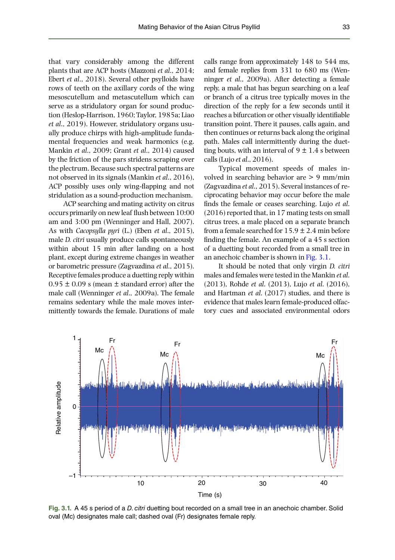that vary considerably among the different plants that are ACP hosts (Mazzoni *et al*., 2014; Ebert *et al*., 2018). Several other psylloids have rows of teeth on the axillary cords of the wing mesoscutellum and metascutellum which can serve as a stridulatory organ for sound production (Heslop-Harrison, 1960; Taylor, 1985a; Liao *et al*., 2019). However, stridulatory organs usually produce chirps with high-amplitude fundamental frequencies and weak harmonics (e.g. Mankin *et al*., 2009; Grant *et al*., 2014) caused by the friction of the pars stridens scraping over the plectrum. Because such spectral patterns are not observed in its signals (Mankin *et al*., 2016), ACP possibly uses only wing-flapping and not stridulation as a sound-production mechanism.

ACP searching and mating activity on citrus occurs primarily on new leaf flush between 10:00 am and 3:00 pm (Wenninger and Hall, 2007). As with *Cacopsylla pyri* (L.) (Eben *et al*., 2015), male *D. citri* usually produce calls spontaneously within about 15 min after landing on a host plant, except during extreme changes in weather or barometric pressure (Zagvazdina *et al*., 2015). Receptive females produce a duetting reply within  $0.95 \pm 0.09$  s (mean  $\pm$  standard error) after the male call (Wenninger *et al*., 2009a). The female remains sedentary while the male moves intermittently towards the female. Durations of male calls range from approximately 148 to 544 ms, and female replies from 331 to 680 ms (Wenninger *et al*., 2009a). After detecting a female reply, a male that has begun searching on a leaf or branch of a citrus tree typically moves in the direction of the reply for a few seconds until it reaches a bifurcation or other visually identifiable transition point. There it pauses, calls again, and then continues or returns back along the original path. Males call intermittently during the duetting bouts, with an interval of  $9 \pm 1.4$  s between calls (Lujo *et al*., 2016).

Typical movement speeds of males involved in searching behavior are > 9 mm/min (Zagvazdina *et al*., 2015). Several instances of reciprocating behavior may occur before the male finds the female or ceases searching. Lujo *et al*. (2016) reported that, in 17 mating tests on small citrus trees, a male placed on a separate branch from a female searched for  $15.9 \pm 2.4$  min before finding the female. An example of a 45 s section of a duetting bout recorded from a small tree in an anechoic chamber is shown in Fig. 3.1.

It should be noted that only virgin *D. citri* males and females were tested in the Mankin *et al*. (2013), Rohde *et al*. (2013), Lujo *et al*. (2016), and Hartman *et al*. (2017) studies, and there is evidence that males learn female-produced olfactory cues and associated environmental odors



**Fig. 3.1.** A 45 s period of a *D. citri* duetting bout recorded on a small tree in an anechoic chamber. Solid oval (Mc) designates male call; dashed oval (Fr) designates female reply.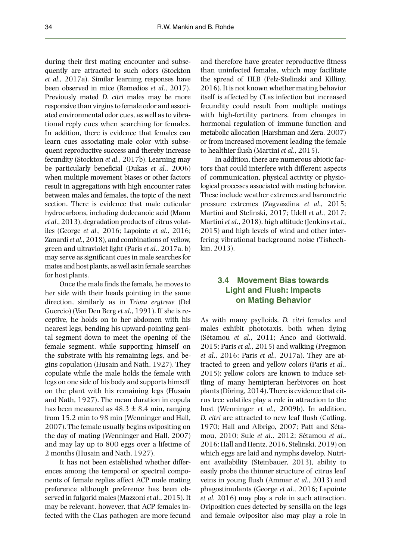during their first mating encounter and subsequently are attracted to such odors (Stockton *et al*., 2017a). Similar learning responses have been observed in mice (Remedios *et al*., 2017). Previously mated *D. citri* males may be more responsive than virgins to female odor and associated environmental odor cues, as well as to vibrational reply cues when searching for females. In addition, there is evidence that females can learn cues associating male color with subsequent reproductive success and thereby increase fecundity (Stockton *et al*., 2017b). Learning may be particularly beneficial (Dukas *et al*., 2006) when multiple movement biases or other factors result in aggregations with high encounter rates between males and females, the topic of the next section. There is evidence that male cuticular hydrocarbons, including dodecanoic acid (Mann *et al*., 2013), degradation products of citrus volatiles (George *et al*., 2016; Lapointe *et al*., 2016; Zanardi *et al*., 2018), and combinations of yellow, green and ultraviolet light (Paris *et al*., 2017a, b) may serve as significant cues in male searches for mates and host plants, as well as in female searches for host plants.

Once the male finds the female, he moves to her side with their heads pointing in the same direction, similarly as in *Trioza erytreae* (Del Guercio) (Van Den Berg *et al*., 1991). If she is receptive, he holds on to her abdomen with his nearest legs, bending his upward-pointing genital segment down to meet the opening of the female segment, while supporting himself on the substrate with his remaining legs, and begins copulation (Husain and Nath, 1927). They copulate while the male holds the female with legs on one side of his body and supports himself on the plant with his remaining legs (Husain and Nath, 1927). The mean duration in copula has been measured as  $48.3 \pm 8.4$  min, ranging from 15.2 min to 98 min (Wenninger and Hall, 2007). The female usually begins ovipositing on the day of mating (Wenninger and Hall, 2007) and may lay up to 800 eggs over a lifetime of 2 months (Husain and Nath, 1927).

It has not been established whether differences among the temporal or spectral components of female replies affect ACP male mating preference although preference has been observed in fulgorid males (Mazzoni *et al*., 2015). It may be relevant, however, that ACP females infected with the *C*Las pathogen are more fecund and therefore have greater reproductive fitness than uninfected females, which may facilitate the spread of HLB (Pelz-Stelinski and Killiny, 2016). It is not known whether mating behavior itself is affected by *C*Las infection but increased fecundity could result from multiple matings with high-fertility partners, from changes in hormonal regulation of immune function and metabolic allocation (Harshman and Zera, 2007) or from increased movement leading the female to healthier flush (Martini *et al*., 2015).

In addition, there are numerous abiotic factors that could interfere with different aspects of communication, physical activity or physiological processes associated with mating behavior. These include weather extremes and barometric pressure extremes (Zagvazdina *et al*., 2015; Martini and Stelinski, 2017; Udell *et al*., 2017; Martini *et al*., 2018), high altitude (Jenkins *et al*., 2015) and high levels of wind and other interfering vibrational background noise (Tishechkin, 2013).

## **3.4 Movement Bias towards Light and Flush: Impacts on Mating Behavior**

As with many psylloids, *D. citri* females and males exhibit phototaxis, both when flying (Sétamou *et al*., 2011; Anco and Gottwald, 2015; Paris *et al*., 2015) and walking (Pregmon *et al*., 2016; Paris *et al*., 2017a). They are attracted to green and yellow colors (Paris *et al*., 2015); yellow colors are known to induce settling of many hemipteran herbivores on host plants (Döring, 2014). There is evidence that citrus tree volatiles play a role in attraction to the host (Wenninger *et al*., 2009b). In addition, *D. citri* are attracted to new leaf flush (Catling, 1970; Hall and Albrigo, 2007; Patt and Sétamou, 2010; Sule *et al*., 2012; Sétamou *et al*., 2016; Hall and Hentz, 2016, Stelinski, 2019) on which eggs are laid and nymphs develop. Nutrient availability (Steinbauer, 2013), ability to easily probe the thinner structure of citrus leaf veins in young flush (Ammar *et al*., 2013) and phagostimulants (George *et al*., 2016; Lapointe *et al*. 2016) may play a role in such attraction. Oviposition cues detected by sensilla on the legs and female ovipositor also may play a role in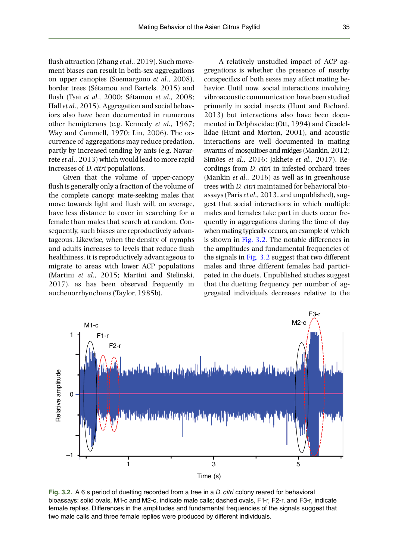flush attraction (Zhang *et al*., 2019). Such movement biases can result in both-sex aggregations on upper canopies (Soemargono *et al*., 2008), border trees (Sétamou and Bartels, 2015) and flush (Tsai *et al*., 2000; Sétamou *et al*., 2008; Hall *et al*., 2015). Aggregation and social behaviors also have been documented in numerous other hemipterans (e.g. Kennedy *et al*., 1967; Way and Cammell, 1970; Lin, 2006). The occurrence of aggregations may reduce predation, partly by increased tending by ants (e.g. Navarrete *et al*., 2013) which would lead to more rapid increases of *D. citri* populations.

Given that the volume of upper-canopy flush is generally only a fraction of the volume of the complete canopy, mate-seeking males that move towards light and flush will, on average, have less distance to cover in searching for a female than males that search at random. Consequently, such biases are reproductively advantageous. Likewise, when the density of nymphs and adults increases to levels that reduce flush healthiness, it is reproductively advantageous to migrate to areas with lower ACP populations (Martini *et al*., 2015; Martini and Stelinski, 2017), as has been observed frequently in auchenorrhynchans (Taylor, 1985b).

A relatively unstudied impact of ACP aggregations is whether the presence of nearby conspecifics of both sexes may affect mating behavior. Until now, social interactions involving vibroacoustic communication have been studied primarily in social insects (Hunt and Richard, 2013) but interactions also have been documented in Delphacidae (Ott, 1994) and Cicadellidae (Hunt and Morton, 2001), and acoustic interactions are well documented in mating swarms of mosquitoes and midges (Mankin, 2012; Simões *et al*., 2016; Jakhete *et al*., 2017). Recordings from *D. citri* in infested orchard trees (Mankin *et al*., 2016) as well as in greenhouse trees with *D. citri* maintained for behavioral bioassays (Paris *et al*., 2013, and unpublished), suggest that social interactions in which multiple males and females take part in duets occur frequently in aggregations during the time of day when mating typically occurs, an example of which is shown in Fig. 3.2. The notable differences in the amplitudes and fundamental frequencies of the signals in Fig. 3.2 suggest that two different males and three different females had participated in the duets. Unpublished studies suggest that the duetting frequency per number of aggregated individuals decreases relative to the



**Fig. 3.2.** A 6 s period of duetting recorded from a tree in a *D. citri* colony reared for behavioral bioassays: solid ovals, M1-c and M2-c, indicate male calls; dashed ovals, F1-r, F2-r, and F3-r, indicate female replies. Differences in the amplitudes and fundamental frequencies of the signals suggest that two male calls and three female replies were produced by different individuals.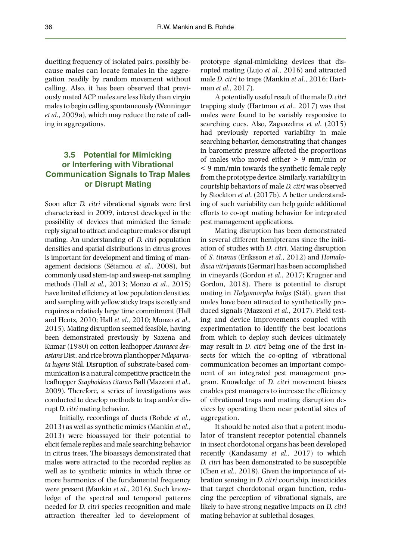duetting frequency of isolated pairs, possibly because males can locate females in the aggregation readily by random movement without calling. Also, it has been observed that previously mated ACP males are less likely than virgin males to begin calling spontaneously (Wenninger *et al*., 2009a), which may reduce the rate of calling in aggregations.

## **3.5 Potential for Mimicking or Interfering with Vibrational Communication Signals to Trap Males or Disrupt Mating**

Soon after *D. citri* vibrational signals were first characterized in 2009, interest developed in the possibility of devices that mimicked the female reply signal to attract and capture males or disrupt mating. An understanding of *D. citri* population densities and spatial distributions in citrus groves is important for development and timing of management decisions (Sétamou *et al*., 2008), but commonly used stem-tap and sweep-net sampling methods (Hall *et al*., 2013; Monzo *et al*., 2015) have limited efficiency at low population densities, and sampling with yellow sticky traps is costly and requires a relatively large time commitment (Hall and Hentz, 2010; Hall *et al*., 2010; Monzo *et al*., 2015). Mating disruption seemed feasible, having been demonstrated previously by Saxena and Kumar (1980) on cotton leafhopper *Amrasca devastans* Dist. and rice brown planthopper *Nilaparvata lugens* Stål. Disruption of substrate-based communication is a natural competitive practice in the leafhopper *Scaphoideus titanus* Ball (Mazzoni *et al*., 2009). Therefore, a series of investigations was conducted to develop methods to trap and/or disrupt *D. citri* mating behavior.

Initially, recordings of duets (Rohde *et al*., 2013) as well as synthetic mimics (Mankin *et al*., 2013) were bioassayed for their potential to elicit female replies and male searching behavior in citrus trees. The bioassays demonstrated that males were attracted to the recorded replies as well as to synthetic mimics in which three or more harmonics of the fundamental frequency were present (Mankin *et al*., 2016). Such knowledge of the spectral and temporal patterns needed for *D. citri* species recognition and male attraction thereafter led to development of prototype signal-mimicking devices that disrupted mating (Lujo *et al*., 2016) and attracted male *D. citri* to traps (Mankin *et al*., 2016; Hartman *et al*., 2017).

A potentially useful result of the male *D. citri* trapping study (Hartman *et al*., 2017) was that males were found to be variably responsive to searching cues. Also, Zagvazdina *et al*. (2015) had previously reported variability in male searching behavior, demonstrating that changes in barometric pressure affected the proportions of males who moved either > 9 mm/min or < 9 mm/min towards the synthetic female reply from the prototype device. Similarly, variability in courtship behaviors of male *D. citri* was observed by Stockton *et al*. (2017b). A better understanding of such variability can help guide additional efforts to co-opt mating behavior for integrated pest management applications.

Mating disruption has been demonstrated in several different hemipterans since the initiation of studies with *D. citri*. Mating disruption of *S. titanus* (Eriksson *et al*., 2012) and *Homalodisca vitripennis* (Germar) has been accomplished in vineyards (Gordon *et al*., 2017; Krugner and Gordon, 2018). There is potential to disrupt mating in *Halyomorpha halys* (Stål), given that males have been attracted to synthetically produced signals (Mazzoni *et al*., 2017). Field testing and device improvements coupled with experimentation to identify the best locations from which to deploy such devices ultimately may result in *D. citri* being one of the first insects for which the co-opting of vibrational communication becomes an important component of an integrated pest management program. Knowledge of *D. citri* movement biases enables pest managers to increase the efficiency of vibrational traps and mating disruption devices by operating them near potential sites of aggregation.

It should be noted also that a potent modulator of transient receptor potential channels in insect chordotonal organs has been developed recently (Kandasamy *et al*., 2017) to which *D. citri* has been demonstrated to be susceptible (Chen *et al*., 2018). Given the importance of vibration sensing in *D. citri* courtship, insecticides that target chordotonal organ function, reducing the perception of vibrational signals, are likely to have strong negative impacts on *D. citri* mating behavior at sublethal dosages.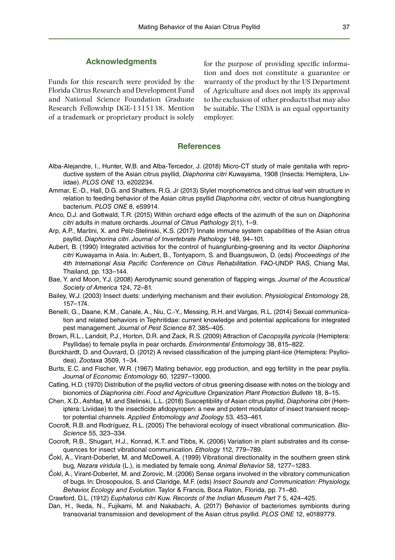#### **Acknowledgments**

Funds for this research were provided by the Florida Citrus Research and Development Fund and National Science Foundation Graduate Research Fellowship DGE-1315138. Mention of a trademark or proprietary product is solely for the purpose of providing specific information and does not constitute a guarantee or warranty of the product by the US Department of Agriculture and does not imply its approval to the exclusion of other products that may also be suitable. The USDA is an equal opportunity employer.

#### **References**

- Alba-Alejandre, I., Hunter, W.B. and Alba-Tercedor, J. (2018) Micro-CT study of male genitalia with reproductive system of the Asian citrus psyllid, *Diaphorina citri* Kuwayama, 1908 (Insecta: Hemiptera, Liviidae). *PLOS ONE* 13, e202234.
- Ammar, E.-D., Hall, D.G. and Shatters, R.G. Jr (2013) Stylet morphometrics and citrus leaf vein structure in relation to feeding behavior of the Asian citrus psyllid *Diaphorina citri*, vector of citrus huanglongbing bacterium. *PLOS ONE* 8, e59914.
- Anco, D.J. and Gottwald, T.R. (2015) Within orchard edge effects of the azimuth of the sun on *Diaphorina citri* adults in mature orchards. *Journal of Citrus Pathology* 2(1), 1–9.
- Arp, A.P., Martini, X. and Pelz-Stelinski, K.S. (2017) Innate immune system capabilities of the Asian citrus psyllid, *Diaphorina citri*. *Journal of Invertebrate Pathology* 148, 94–101.
- Aubert, B. (1990) Integrated activities for the control of huanglunbing-greening and its vector *Diaphorina citri* Kuwayama in Asia. In: Aubert, B., Tontyaporn, S. and Buangsuwon, D. (eds) *Proceedings of the 4th International Asia Pacific Conference on Citrus Rehabilitation*. FAO-UNDP RAS, Chiang Mai, Thailand, pp. 133–144.
- Bae, Y. and Moon, Y.J. (2008) Aerodynamic sound generation of flapping wings. *Journal of the Acoustical Society of America* 124, 72–81.
- Bailey, W.J. (2003) Insect duets: underlying mechanism and their evolution. *Physiological Entomology* 28, 157–174.
- Benelli, G., Daane, K.M., Canale, A., Niu, C.-Y., Messing, R.H. and Vargas, R.L. (2014) Sexual communication and related behaviors in Tephritidae: current knowledge and potential applications for integrated pest management. *Journal of Pest Science* 87, 385–405.
- Brown, R.L., Landolt, P.J., Horton, D.R. and Zack, R.S. (2009) Attraction of *Cacopsylla pyricola* (Hemiptera: Psyllidae) to female psylla in pear orchards. *Environmental Entomology* 38, 815–822.
- Burckhardt, D. and Ouvrard, D. (2012) A revised classification of the jumping plant-lice (Hemiptera: Psylloidea). *Zootaxa* 3509, 1–34.
- Burts, E.C. and Fischer, W.R. (1967) Mating behavior, egg production, and egg fertility in the pear psylla. *Journal of Economic Entomology* 60, 12297–13000.
- Catling, H.D. (1970) Distribution of the psyllid vectors of citrus greening disease with notes on the biology and bionomics of *Diaphorina citri*. *Food and Agriculture Organization Plant Protection Bulletin* 18, 8–15.
- Chen, X.D., Ashfaq, M. and Stelinski, L.L. (2018) Susceptibility of Asian citrus psyllid, *Diaphorina citri* (Hemiptera: Liviidae) to the insecticide afidopyropen: a new and potent modulator of insect transient receptor potential channels. *Applied Entomology and Zoology* 53, 453–461.
- Cocroft, R.B. and Rodríguez, R.L. (2005) The behavioral ecology of insect vibrational communication. *Bio-Science* 55, 323–334.
- Cocroft, R.B., Shugart, H.J., Konrad, K.T. and Tibbs, K. (2006) Variation in plant substrates and its consequences for insect vibrational communication. *Ethology* 112, 779–789.
- Č okl, A., Virant-Doberlet, M. and McDowell, A. (1999) Vibrational directionality in the southern green stink bug, *Nezara viridula* (L.), is mediated by female song. *Animal Behavior* 58, 1277–1283.
- Č okl, A., Virant-Doberlet, M. and Zorovic, M. (2006) Sense organs involved in the vibratory communication of bugs. In: Drosopoulos, S. and Claridge, M.F. (eds) *Insect Sounds and Communication: Physiology, Behavior, Ecology and Evolution*. Taylor & Francis, Boca Raton, Florida, pp. 71–80.
- Crawford, D.L. (1912) *Euphalorus citri* Kuw. *Records of the Indian Museum Part* 7 5, 424–425.
- Dan, H., Ikeda, N., Fujikami, M. and Nakabachi, A. (2017) Behavior of bacteriomes symbionts during transovarial transmission and development of the Asian citrus psyllid. *PLOS ONE* 12, e0189779.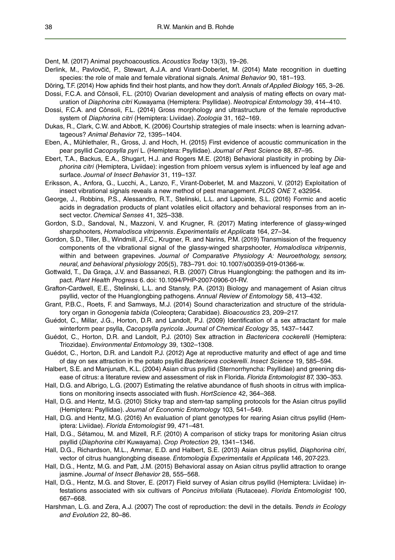Dent, M. (2017) Animal psychoacoustics. *Acoustics Today* 13(3), 19–26.

- Derlink, M., Pavlovčič, P., Stewart, A.J.A. and Virant-Doberlet, M. (2014) Mate recognition in duetting species: the role of male and female vibrational signals. *Animal Behavior* 90, 181–193.
- Döring, T.F. (2014) How aphids find their host plants, and how they don't. *Annals of Applied Biology* 165, 3–26. Dossi, F.C.A. and Cônsoli, F.L. (2010) Ovarian development and analysis of mating effects on ovary maturation of *Diaphorina citri* Kuwayama (Hemiptera: Psyllidae). *Neotropical Entomology* 39, 414–410.
- Dossi, F.C.A. and Cônsoli, F.L. (2014) Gross morphology and ultrastructure of the female reproductive system of *Diaphorina citri* (Hemiptera: Liviidae). *Zoologia* 31, 162–169.
- Dukas, R., Clark, C.W. and Abbott, K. (2006) Courtship strategies of male insects: when is learning advantageous? *Animal Behavior* 72, 1395–1404.
- Eben, A., Mühlethaler, R., Gross, J. and Hoch, H. (2015) First evidence of acoustic communication in the pear psyllid *Cacopsylla pyri* L. (Hemiptera: Psyllidae). *Journal of Pest Science* 88, 87–95.
- Ebert, T.A., Backus, E.A., Shugart, H.J. and Rogers M.E. (2018) Behavioral plasticity in probing by *Diaphorina citri* (Hemiptera, Liviidae): ingestion from phloem versus xylem is influenced by leaf age and surface. *Journal of Insect Behavior* 31, 119–137.
- Eriksson, A., Anfora, G., Lucchi, A., Lanzo, F., Virant-Doberlet, M. and Mazzoni, V. (2012) Exploitation of insect vibrational signals reveals a new method of pest management. *PLOS ONE* 7, e32954.
- George, J., Robbins, P.S., Alessandro, R.T., Stelinski, L.L. and Lapointe, S.L. (2016) Formic and acetic acids in degradation products of plant volatiles elicit olfactory and behavioral responses from an insect vector. *Chemical Senses* 41, 325–338.
- Gordon, S.D., Sandoval, N., Mazzoni, V. and Krugner, R. (2017) Mating interference of glassy-winged sharpshooters, *Homalodisca vitripennis*. *Experimentalis et Applicata* 164, 27–34.
- Gordon, S.D., Tiller, B., Windmill, J.F.C., Krugner, R. and Narins, P.M. (2019) Transmission of the frequency components of the vibrational signal of the glassy-winged sharpshooter, *Homalodisca vitripennis*, within and between grapevines. *Journal of Comparative Physiology A: Neuroethology, sensory, neural, and behavioral physiology* 205(5), 783–791. doi: 10.1007/s00359-019-01366-w.
- Gottwald, T., Da Graça, J.V. and Bassanezi, R.B. (2007) Citrus Huanglongbing: the pathogen and its impact. *Plant Health Progress* 6. doi: 10.1094/PHP-2007-0906-01-RV.
- Grafton-Cardwell, E.E., Stelinski, L.L. and Stansly, P.A. (2013) Biology and management of Asian citrus psyllid, vector of the Huanglongbing pathogens. *Annual Review of Entomology* 58, 413–432.
- Grant, P.B.C., Roets, F. and Samways, M.J. (2014) Sound characterization and structure of the stridulatory organ in *Gonogenia tabida* (Coleoptera; Carabidae). *Bioacoustics* 23, 209–217.
- Guédot, C., Millar, J.G., Horton, D.R. and Landolt, P.J. (2009) Identification of a sex attractant for male winterform pear psylla, *Cacopsylla pyricola*. *Journal of Chemical Ecology* 35, 1437–1447.
- Guédot, C., Horton, D.R. and Landolt, P.J. (2010) Sex attraction in *Bactericera cockerelli* (Hemiptera: Triozidae). *Environmental Entomology* 39, 1302–1308.
- Guédot, C., Horton, D.R. and Landolt P.J. (2012) Age at reproductive maturity and effect of age and time of day on sex attraction in the potato psyllid *Bactericera cockerelli*. *Insect Science* 19, 585–594.
- Halbert, S.E. and Manjunath, K.L. (2004) Asian citrus psyllid (Sternorrhyncha: Psyllidae) and greening disease of citrus: a literature review and assessment of risk in Florida. *Florida Entomologist* 87, 330–353.
- Hall, D.G. and Albrigo, L.G. (2007) Estimating the relative abundance of flush shoots in citrus with implications on monitoring insects associated with flush. *HortScience* 42, 364–368.
- Hall, D.G. and Hentz, M.G. (2010) Sticky trap and stem-tap sampling protocols for the Asian citrus psyllid (Hemiptera: Psyllidae). *Journal of Economic Entomology* 103, 541–549.
- Hall, D.G. and Hentz, M.G. (2016) An evaluation of plant genotypes for rearing Asian citrus psyllid (Hemiptera: Liviidae). *Florida Entomologist* 99, 471–481.
- Hall, D.G., Sétamou, M. and Mizell, R.F. (2010) A comparison of sticky traps for monitoring Asian citrus psyllid (*Diaphorina citri* Kuwayama). *Crop Protection* 29, 1341–1346.
- Hall, D.G., Richardson, M.L., Ammar, E.D. and Halbert, S.E. (2013) Asian citrus psyllid, *Diaphorina citri*, vector of citrus huanglongbing disease. *Entomologia Experimentalis et Applicata* 146, 207-223.
- Hall, D.G., Hentz, M.G. and Patt, J.M. (2015) Behavioral assay on Asian citrus psyllid attraction to orange jasmine. *Journal of Insect Behavior* 28, 555–568.
- Hall, D.G., Hentz, M.G. and Stover, E. (2017) Field survey of Asian citrus psyllid (Hemiptera: Liviidae) infestations associated with six cultivars of *Poncirus trifoliata* (Rutaceae). *Florida Entomologist* 100, 667–668.
- Harshman, L.G. and Zera, A.J. (2007) The cost of reproduction: the devil in the details. *Trends in Ecology and Evolution* 22, 80–86.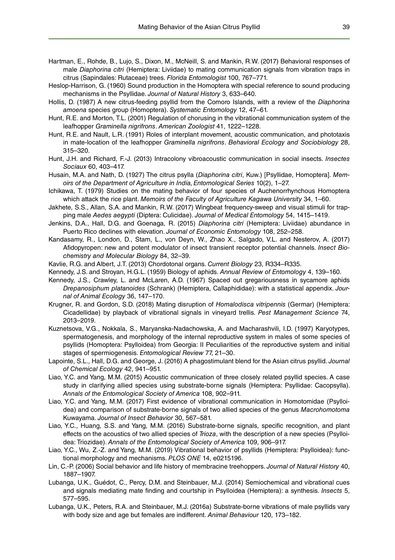- Hartman, E., Rohde, B., Lujo, S., Dixon, M., McNeill, S. and Mankin, R.W. (2017) Behavioral responses of male *Diaphorina citri* (Hemiptera: Liviidae) to mating communication signals from vibration traps in citrus (Sapindales: Rutaceae) trees. *Florida Entomologist* 100, 767–771.
- Heslop-Harrison, G. (1960) Sound production in the Homoptera with special reference to sound producing mechanisms in the Psyllidae. *Journal of Natural History* 3, 633–640.
- Hollis, D. (1987) A new citrus-feeding psyllid from the Comoro Islands, with a review of the *Diaphorina amoena* species group (Homoptera). *Systematic Entomology* 12, 47–61.
- Hunt, R.E. and Morton, T.L. (2001) Regulation of chorusing in the vibrational communication system of the leafhopper *Graminella nigrifrons*. *American Zoologist* 41, 1222–1228.
- Hunt, R.E. and Nault, L.R. (1991) Roles of interplant movement, acoustic communication, and phototaxis in mate-location of the leafhopper *Graminella nigrifrons*. *Behavioral Ecology and Sociobiology* 28, 315–320.
- Hunt, J.H. and Richard, F.-J. (2013) Intracolony vibroacoustic communication in social insects. *Insectes Sociaux* 60, 403–417.
- Husain, M.A. and Nath, D. (1927) The citrus psylla (*Diaphorina citri*, Kuw.) [Psyllidae, Homoptera]. *Memoirs of the Department of Agriculture in India, Entomological Series* 10(2), 1–27.
- Ichikawa, T. (1979) Studies on the mating behavior of four species of Auchenorrhynchous Homoptera which attack the rice plant. *Memoirs of the Faculty of Agriculture Kagawa University* 34, 1–60.
- Jakhete, S.S., Allan, S.A. and Mankin, R.W. (2017) Wingbeat frequency-sweep and visual stimuli for trapping male *Aedes aegypti* (Diptera: Culicidae). *Journal of Medical Entomology* 54, 1415–1419.
- Jenkins, D.A., Hall, D.G. and Goenaga, R. (2015) *Diaphorina citri* (Hemiptera: Liviidae) abundance in Puerto Rico declines with elevation. *Journal of Economic Entomology* 108, 252–258.
- Kandasamy, R., London, D., Stam, L., von Deyn, W., Zhao X., Salgado, V.L. and Nesterov, A. (2017) Afidopyropen: new and potent modulator of insect transient receptor potential channels. *Insect Biochemistry and Molecular Biology* 84, 32–39.
- Kavlie, R.G. and Albert, J.T. (2013) Chordotonal organs. *Current Biology* 23, R334–R335.
- Kennedy, J.S. and Stroyan, H.G.L. (1959) Biology of aphids. *Annual Review of Entomology* 4, 139–160.
- Kennedy, J.S., Crawley, L. and McLaren, A.D. (1967) Spaced out gregariousness in sycamore aphids *Drepanosiphum platanoides* (Schrank) (Hemiptera, Callaphididae): with a statistical appendix. *Journal of Animal Ecology* 36, 147–170.
- Krugner, R. and Gordon, S.D. (2018) Mating disruption of *Homalodisca vitripennis* (Germar) (Hemiptera: Cicadellidae) by playback of vibrational signals in vineyard trellis. *Pest Management Science* 74, 2013–2019.
- Kuznetsova, V.G., Nokkala, S., Maryanska-Nadachowska, A. and Macharashvili, I.D. (1997) Karyotypes, spermatogenesis, and morphology of the internal reproductive system in males of some species of psyllids (Homoptera: Psylloidea) from Georgia: II Peculiarities of the reproductive system and initial stages of spermiogenesis. *Entomological Review* 77, 21–30.
- Lapointe, S.L., Hall, D.G. and George, J. (2016) A phagostimulant blend for the Asian citrus psyllid. *Journal of Chemical Ecology* 42, 941–951.
- Liao, Y.C. and Yang, M.M. (2015) Acoustic communication of three closely related psyllid species. A case study in clarifying allied species using substrate-borne signals (Hemiptera: Psyllidae: Cacopsylla). *Annals of the Entomological Society of America* 108, 902–911.
- Liao, Y.C. and Yang, M.M. (2017) First evidence of vibrational communication in Homotomidae (Psylloidea) and comparison of substrate-borne signals of two allied species of the genus *Macrohomotoma* Kuwayama. *Journal of Insect Behavior* 30, 567–581.
- Liao, Y.C., Huang, S.S. and Yang, M.M. (2016) Substrate-borne signals, specific recognition, and plant effects on the acoustics of two allied species of *Trioza*, with the description of a new species (Psylloidea: Triozidae). *Annals of the Entomological Society of America* 109, 906–917.
- Liao, Y.C., Wu, Z.-Z. and Yang, M.M. (2019) Vibrational behavior of psyllids (Hemiptera: Psylloidea): functional morphology and mechanisms. *PLOS ONE* 14, e0215196.
- Lin, C.-P. (2006) Social behavior and life history of membracine treehoppers. *Journal of Natural History* 40, 1887–1907.
- Lubanga, U.K., Guédot, C., Percy, D.M. and Steinbauer, M.J. (2014) Semiochemical and vibrational cues and signals mediating mate finding and courtship in Psylloidea (Hemiptera): a synthesis. *Insects* 5, 577–595.
- Lubanga, U.K., Peters, R.A. and Steinbauer, M.J. (2016a) Substrate-borne vibrations of male psyllids vary with body size and age but females are indifferent. *Animal Behaviour* 120, 173–182.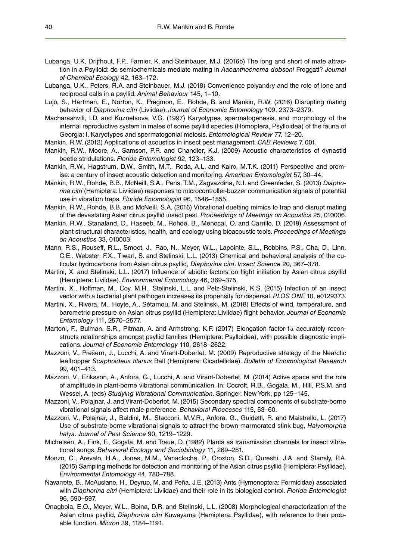- Lubanga, U.K, Drijfhout, F.P., Farnier, K. and Steinbauer, M.J. (2016b) The long and short of mate attraction in a Psylloid: do semiochemicals mediate mating in *Aacanthocnema dobsoni* Froggatt? *Journal of Chemical Ecology* 42, 163–172.
- Lubanga, U.K., Peters, R.A. and Steinbauer, M.J. (2018) Convenience polyandry and the role of lone and reciprocal calls in a psyllid. *Animal Behaviour* 145, 1–10.
- Lujo, S., Hartman, E., Norton, K., Pregmon, E., Rohde, B. and Mankin, R.W. (2016) Disrupting mating behavior of *Diaphorina citri* (Liviidae). *Journal of Economic Entomology* 109, 2373–2379.
- Macharashvili, I.D. and Kuznetsova, V.G. (1997) Karyotypes, spermatogenesis, and morphology of the internal reproductive system in males of some psyllid species (Homoptera, Psylloidea) of the fauna of Georgia: I. Karyotypes and spermatogonial meiosis. *Entomological Review* 77, 12–20.
- Mankin, R.W. (2012) Applications of acoustics in insect pest management. *CAB Reviews* 7, 001.
- Mankin, R.W., Moore, A., Samson, P.R. and Chandler, K.J. (2009) Acoustic characteristics of dynastid beetle stridulations. *Florida Entomologist* 92, 123–133.
- Mankin, R.W., Hagstrum, D.W., Smith, M.T., Roda, A.L. and Kairo, M.T.K. (2011) Perspective and promise: a century of insect acoustic detection and monitoring. *American Entomologist* 57, 30–44.
- Mankin, R.W., Rohde, B.B., McNeill, S.A., Paris, T.M., Zagvazdina, N.I. and Greenfeder, S. (2013) *Diaphorina citri* (Hemiptera: Liviidae) responses to microcontroller-buzzer communication signals of potential use in vibration traps. *Florida Entomologist* 96, 1546–1555.
- Mankin, R.W., Rohde, B.B. and McNeill, S.A. (2016) Vibrational duetting mimics to trap and disrupt mating of the devastating Asian citrus psyllid insect pest. *Proceedings of Meetings on Acoustics* 25, 010006.
- Mankin, R.W., Stanaland, D., Haseeb, M., Rohde, B., Menocal, O. and Carrillo, D. (2018) Assessment of plant structural characteristics, health, and ecology using bioacoustic tools. *Proceedings of Meetings on Acoustics* 33, 010003.
- Mann, R.S., Rouseff, R.L., Smoot, J., Rao, N., Meyer, W.L., Lapointe, S.L., Robbins, P.S., Cha, D., Linn, C.E., Webster, F.X., Tiwari, S. and Stelinski, L.L. (2013) Chemical and behavioral analysis of the cuticular hydrocarbons from Asian citrus psyllid, *Diaphorina citri*. *Insect Science* 20, 367–378.
- Martini, X. and Stelinski, L.L. (2017) Influence of abiotic factors on flight initiation by Asian citrus psyllid (Hemiptera: Liviidae). *Environmental Entomology* 46, 369–375.
- Martini, X., Hoffman, M., Coy, M.R., Stelinski, L.L. and Pelz-Stelinski, K.S. (2015) Infection of an insect vector with a bacterial plant pathogen increases its propensity for dispersal. *PLOS ONE* 10, e0129373.
- Martini, X., Rivera, M., Hoyte, A., Sétamou, M. and Stelinski, M. (2018) Effects of wind, temperature, and barometric pressure on Asian citrus psyllid (Hemiptera: Liviidae) flight behavior. *Journal of Economic Entomology* 111, 2570–2577.
- Martoni, F., Bulman, S.R., Pitman, A. and Armstrong, K.F. (2017) Elongation factor-1α accurately reconstructs relationships amongst psyllid families (Hemiptera: Psylloidea), with possible diagnostic implications. *Journal of Economic Entomology* 110, 2618–2622.
- Mazzoni, V., Prešern, J., Lucchi, A. and Virant-Doberlet, M. (2009) Reproductive strategy of the Nearctic leafhopper *Scaphoideus titanus* Ball (Hemiptera: Cicadellidae). *Bulletin of Entomological Research* 99, 401–413.
- Mazzoni, V., Eriksson, A., Anfora, G., Lucchi, A. and Virant-Doberlet, M. (2014) Active space and the role of amplitude in plant-borne vibrational communication. In: Cocroft, R.B., Gogala, M., Hill, P.S.M. and Wessel, A. (eds) *Studying Vibrational Communication*. Springer, New York, pp 125–145.
- Mazzoni, V., Polajnar, J. and Virant-Doberlet, M. (2015) Secondary spectral components of substrate-borne vibrational signals affect male preference. *Behavioral Processes* 115, 53–60.
- Mazzoni, V., Polajnar, J., Baldini, M., Stacconi, M.V.R., Anfora, G., Guidetti, R. and Maistrello, L. (2017) Use of substrate-borne vibrational signals to attract the brown marmorated stink bug, *Halyomorpha halys*. *Journal of Pest Science* 90, 1219–1229.
- Michelsen, A., Fink, F., Gogala, M. and Traue, D. (1982) Plants as transmission channels for insect vibrational songs. *Behavioral Ecology and Sociobiology* 11, 269–281.
- Monzo, C., Arevalo, H.A., Jones, M.M., Vanaclocha, P., Croxton, S.D., Qureshi, J.A. and Stansly, P.A. (2015) Sampling methods for detection and monitoring of the Asian citrus psyllid (Hemiptera: Psyllidae). *Environmental Entomology* 44, 780–788.
- Navarrete, B., McAuslane, H., Deyrup, M. and Peña, J.E. (2013) Ants (Hymenoptera: Formicidae) associated with *Diaphorina citri* (Hemiptera: Liviidae) and their role in its biological control. *Florida Entomologist* 96, 590–597.
- Onagbola, E.O., Meyer, W.L., Boina, D.R. and Stelinski, L.L. (2008) Morphological characterization of the Asian citrus psyllid, *Diaphorina citri* Kuwayama (Hemiptera: Psyllidae), with reference to their probable function. *Micron* 39, 1184–1191.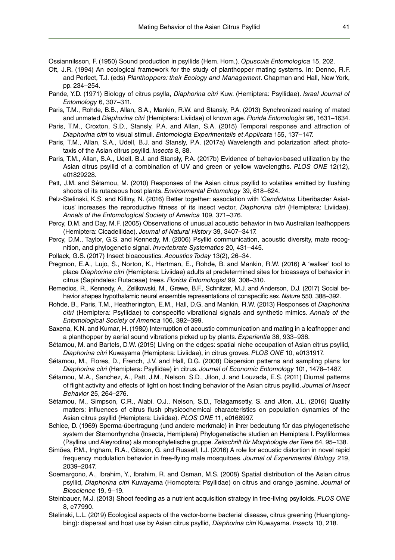Ossiannilsson, F. (1950) Sound production in psyllids (Hem. Hom.). *Opuscula Entomologica* 15, 202.

- Ott, J.R. (1994) An ecological framework for the study of planthopper mating systems. In: Denno, R.F. and Perfect, T.J. (eds) *Planthoppers: their Ecology and Management*. Chapman and Hall, New York, pp. 234–254.
- Pande, Y.D. (1971) Biology of citrus psylla, *Diaphorina citri* Kuw. (Hemiptera: Psyllidae). *Israel Journal of Entomology* 6, 307–311.
- Paris, T.M., Rohde, B.B., Allan, S.A., Mankin, R.W. and Stansly, P.A. (2013) Synchronized rearing of mated and unmated *Diaphorina citri* (Hemiptera: Liviidae) of known age. *Florida Entomologist* 96, 1631–1634.
- Paris, T.M., Croxton, S.D., Stansly, P.A. and Allan, S.A. (2015) Temporal response and attraction of *Diaphorina citri* to visual stimuli. *Entomologia Experimentalis et Applicata* 155, 137–147.
- Paris, T.M., Allan, S.A., Udell, B.J. and Stansly, P.A. (2017a) Wavelength and polarization affect phototaxis of the Asian citrus psyllid. *Insects* 8, 88.
- Paris, T.M., Allan, S.A., Udell, B.J. and Stansly, P.A. (2017b) Evidence of behavior-based utilization by the Asian citrus psyllid of a combination of UV and green or yellow wavelengths. *PLOS ONE* 12(12), e01829228.
- Patt, J.M. and Sétamou, M. (2010) Responses of the Asian citrus psyllid to volatiles emitted by flushing shoots of its rutaceous host plants. *Environmental Entomology* 39, 618–624.
- Pelz-Stelinski, K.S. and Killiny, N. (2016) Better together: association with '*Candidatus* Liberibacter Asiaticus' increases the reproductive fitness of its insect vector, *Diaphorina citri* (Hemiptera: Liviidae). *Annals of the Entomological Society of America* 109, 371–376.
- Percy, D.M. and Day, M.F. (2005) Observations of unusual acoustic behavior in two Australian leafhoppers (Hemiptera: Cicadellidae). *Journal of Natural History* 39, 3407–3417.
- Percy, D.M., Taylor, G.S. and Kennedy, M. (2006) Psyllid communication, acoustic diversity, mate recognition, and phylogenetic signal. *Invertebrate Systematics* 20, 431–445.
- Pollack, G.S. (2017) Insect bioacoustics. *Acoustics Today* 13(2), 26–34.
- Pregmon, E.A., Lujo, S., Norton, K., Hartman, E., Rohde, B. and Mankin, R.W. (2016) A 'walker' tool to place *Diaphorina citri* (Hemiptera: Liviidae) adults at predetermined sites for bioassays of behavior in citrus (Sapindales: Rutaceae) trees. *Florida Entomologist* 99, 308–310.
- Remedios, R., Kennedy, A., Zelikowski, M., Grewe, B.F., Schnitzer, M.J. and Anderson, D.J. (2017) Social behavior shapes hypothalamic neural ensemble representations of conspecific sex. *Nature* 550, 388–392.
- Rohde, B., Paris, T.M., Heatherington, E.M., Hall, D.G. and Mankin, R.W. (2013) Responses of *Diaphorina citri* (Hemiptera: Psyllidae) to conspecific vibrational signals and synthetic mimics. *Annals of the Entomological Society of America* 106, 392–399.
- Saxena, K.N. and Kumar, H. (1980) Interruption of acoustic communication and mating in a leafhopper and a planthopper by aerial sound vibrations picked up by plants. *Experientia* 36, 933–936.
- Sétamou, M. and Bartels, D.W. (2015) Living on the edges: spatial niche occupation of Asian citrus psyllid, *Diaphorina citri* Kuwayama (Hemiptera: Liviidae), in citrus groves. *PLOS ONE* 10, e0131917.
- Sétamou, M., Flores, D., French, J.V. and Hall, D.G. (2008) Dispersion patterns and sampling plans for *Diaphorina citri* (Hemiptera: Psyllidae) in citrus. *Journal of Economic Entomology* 101, 1478–1487.
- Sétamou, M.A., Sanchez, A., Patt, J.M., Nelson, S.D., Jifon, J. and Louzada, E.S. (2011) Diurnal patterns of flight activity and effects of light on host finding behavior of the Asian citrus psyllid. *Journal of Insect Behavior* 25, 264–276.
- Sétamou, M., Simpson, C.R., Alabi, O.J., Nelson, S.D., Telagamsetty, S. and Jifon, J.L. (2016) Quality matters: influences of citrus flush physicochemical characteristics on population dynamics of the Asian citrus psyllid (Hemiptera: Liviidae). *PLOS ONE* 11, e0168997.
- Schlee, D. (1969) Sperma-übertragung (und andere merkmale) in ihrer bedeutung für das phylogenetische system der Sternorrhyncha (Insecta, Hemiptera) Phylogenetische studien an Hemiptera I. Psylliformes (Psyllina und Aleyrodina) als monophyletische gruppe. *Zeitschrift für Morphologie der Tiere* 64, 95–138.
- Simões, P.M., Ingham, R.A., Gibson, G. and Russell, I.J. (2016) A role for acoustic distortion in novel rapid frequency modulation behavior in free-flying male mosquitoes. *Journal of Experimental Biology* 219, 2039–2047.
- Soemargono, A., Ibrahim, Y., Ibrahim, R. and Osman, M.S. (2008) Spatial distribution of the Asian citrus psyllid, *Diaphorina citri* Kuwayama (Homoptera: Psyllidae) on citrus and orange jasmine. *Journal of Bioscience* 19, 9–19.
- Steinbauer, M.J. (2013) Shoot feeding as a nutrient acquisition strategy in free-living psylloids. *PLOS ONE* 8, e77990.
- Stelinski, L.L. (2019) Ecological aspects of the vector-borne bacterial disease, citrus greening (Huanglongbing): dispersal and host use by Asian citrus psyllid, *Diaphorina citri* Kuwayama. *Insects* 10, 218.